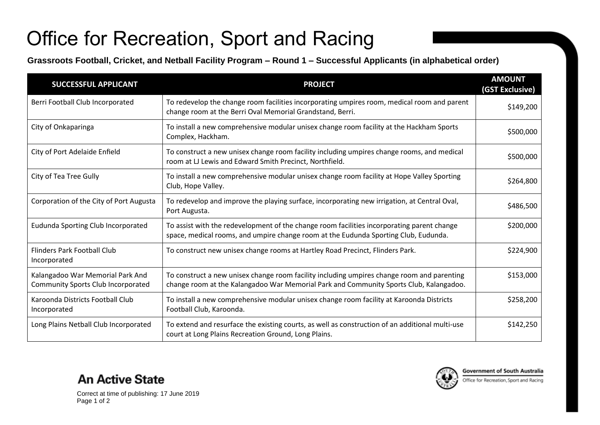## Office for Recreation, Sport and Racing

**Grassroots Football, Cricket, and Netball Facility Program – Round 1 – Successful Applicants (in alphabetical order)**

| <b>SUCCESSFUL APPLICANT</b>                                                   | <b>PROJECT</b>                                                                                                                                                                       | <b>AMOUNT</b><br>(GST Exclusive) |
|-------------------------------------------------------------------------------|--------------------------------------------------------------------------------------------------------------------------------------------------------------------------------------|----------------------------------|
| Berri Football Club Incorporated                                              | To redevelop the change room facilities incorporating umpires room, medical room and parent<br>change room at the Berri Oval Memorial Grandstand, Berri.                             | \$149,200                        |
| City of Onkaparinga                                                           | To install a new comprehensive modular unisex change room facility at the Hackham Sports<br>Complex, Hackham.                                                                        | \$500,000                        |
| City of Port Adelaide Enfield                                                 | To construct a new unisex change room facility including umpires change rooms, and medical<br>room at LJ Lewis and Edward Smith Precinct, Northfield.                                | \$500,000                        |
| City of Tea Tree Gully                                                        | To install a new comprehensive modular unisex change room facility at Hope Valley Sporting<br>Club, Hope Valley.                                                                     | \$264,800                        |
| Corporation of the City of Port Augusta                                       | To redevelop and improve the playing surface, incorporating new irrigation, at Central Oval,<br>Port Augusta.                                                                        | \$486,500                        |
| Eudunda Sporting Club Incorporated                                            | To assist with the redevelopment of the change room facilities incorporating parent change<br>space, medical rooms, and umpire change room at the Eudunda Sporting Club, Eudunda.    | \$200,000                        |
| Flinders Park Football Club<br>Incorporated                                   | To construct new unisex change rooms at Hartley Road Precinct, Flinders Park.                                                                                                        | \$224,900                        |
| Kalangadoo War Memorial Park And<br><b>Community Sports Club Incorporated</b> | To construct a new unisex change room facility including umpires change room and parenting<br>change room at the Kalangadoo War Memorial Park and Community Sports Club, Kalangadoo. | \$153,000                        |
| Karoonda Districts Football Club<br>Incorporated                              | To install a new comprehensive modular unisex change room facility at Karoonda Districts<br>Football Club, Karoonda.                                                                 | \$258,200                        |
| Long Plains Netball Club Incorporated                                         | To extend and resurface the existing courts, as well as construction of an additional multi-use<br>court at Long Plains Recreation Ground, Long Plains.                              | \$142,250                        |



Correct at time of publishing: 17 June 2019 Page 1 of 2

**An Active State**